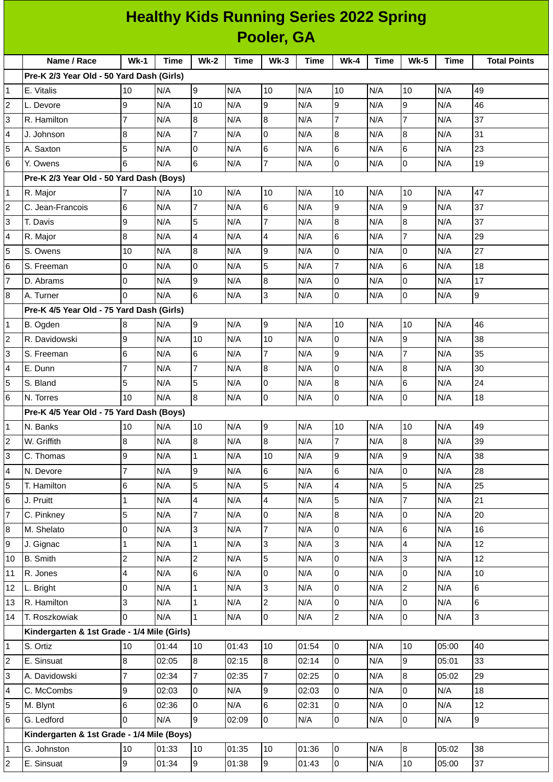| <b>Healthy Kids Running Series 2022 Spring</b> |                                             |                  |             |                                  |            |                             |             |                |             |                     |             |                     |
|------------------------------------------------|---------------------------------------------|------------------|-------------|----------------------------------|------------|-----------------------------|-------------|----------------|-------------|---------------------|-------------|---------------------|
|                                                | Pooler, GA                                  |                  |             |                                  |            |                             |             |                |             |                     |             |                     |
|                                                | Name / Race                                 | $Wk-1$           | <b>Time</b> | <b>Wk-2</b>                      | Time       | $Wk-3$                      | <b>Time</b> | $Wk-4$         | <b>Time</b> | <b>Wk-5</b>         | <b>Time</b> | <b>Total Points</b> |
|                                                | Pre-K 2/3 Year Old - 50 Yard Dash (Girls)   |                  |             |                                  |            |                             |             |                |             |                     |             |                     |
| $\mathbf{1}$                                   | E. Vitalis                                  | 10               | N/A         | 9                                | N/A        | 10                          | N/A         | 10             | N/A         | 10                  | N/A         | 49                  |
| $\overline{c}$                                 | L. Devore                                   | 9                | N/A         | 10                               | N/A        | 9                           | N/A         | 9              | N/A         | 9                   | N/A         | 46                  |
| 3                                              | R. Hamilton                                 | $\overline{7}$   | N/A         | 8                                | N/A        | $\boldsymbol{8}$            | N/A         | $\overline{7}$ | N/A         | $\overline{7}$      | N/A         | 37                  |
| 4                                              | J. Johnson                                  | 8                | N/A         | $\overline{7}$                   | N/A        | 0                           | N/A         | 8              | N/A         | 8                   | N/A         | 31                  |
| 5                                              | A. Saxton                                   | 5                | N/A         | 0                                | N/A        | 6                           | N/A         | 6              | N/A         | 6                   | N/A         | 23                  |
| 6                                              | Y. Owens                                    | $6\phantom{.}6$  | N/A         | 6                                | N/A        | $\overline{7}$              | N/A         | 0              | N/A         | $\overline{0}$      | N/A         | 19                  |
|                                                | Pre-K 2/3 Year Old - 50 Yard Dash (Boys)    |                  |             |                                  |            |                             |             |                |             |                     |             |                     |
| $\mathbf{1}$                                   | R. Major                                    | 7                | N/A         | 10                               | N/A        | 10                          | N/A         | 10             | N/A         | 10                  | N/A         | 47                  |
| $\overline{c}$                                 | C. Jean-Francois                            | $\,6$            | N/A         | $\overline{7}$                   | N/A        | 6                           | N/A         | 9              | N/A         | 9                   | N/A         | 37                  |
| 3                                              | T. Davis                                    | 9                | N/A         | 5                                | N/A        | $\overline{7}$              | N/A         | 8              | N/A         | 8                   | N/A         | 37                  |
| 4                                              | R. Major                                    | 8                | N/A         | $\overline{\mathbf{4}}$          | N/A        | 4                           | N/A         | 6              | N/A         | $\overline{7}$      | N/A         | 29                  |
| 5                                              | S. Owens                                    | 10               | N/A         | 8                                | N/A        | 9                           | N/A         | 0              | N/A         | 0                   | N/A         | 27                  |
| 6                                              | S. Freeman                                  | 0                | N/A         | 0                                | N/A        | 5                           | N/A         | $\overline{7}$ | N/A         | $6\phantom{.}6$     | N/A         | 18                  |
| $\overline{7}$                                 | D. Abrams                                   | $\overline{0}$   | N/A         | 9                                | N/A        | $\, 8$                      | N/A         | 0              | N/A         | $\overline{0}$      | N/A         | 17                  |
| 8                                              | A. Turner                                   | $\Omega$         | N/A         | 6                                | N/A        | 3                           | N/A         | $\pmb{0}$      | N/A         | $\overline{0}$      | N/A         | 9                   |
|                                                | Pre-K 4/5 Year Old - 75 Yard Dash (Girls)   |                  |             |                                  |            |                             |             |                |             |                     |             |                     |
| $\mathbf{1}$                                   | B. Ogden                                    | 8                | N/A         | 9                                | N/A        | 9                           | N/A         | 10             | N/A         | 10                  | N/A         | 46                  |
| $\overline{c}$                                 | R. Davidowski                               | 9                | N/A         | 10                               | N/A        | 10                          | N/A         | 0              | N/A         | 9                   | N/A         | 38                  |
| 3                                              | S. Freeman                                  | 6                | N/A         | 6                                | N/A        | $\overline{7}$              | N/A         | 9              | N/A         | $\overline{7}$      | N/A         | 35                  |
| 4                                              | E. Dunn                                     | $\overline{7}$   | N/A         | $\overline{7}$                   | N/A        | 8                           | N/A         | 0              | N/A         | 8                   | N/A         | 30                  |
| 5                                              | S. Bland                                    | 5                | N/A         | 5                                | N/A        | $\mathsf{O}$                | N/A         | 8              | N/A         | 6                   | N/A         | 24                  |
| 6                                              | N. Torres                                   | 10               | N/A         | 8                                | N/A        | 0                           | N/A         | 0              | N/A         | 0                   | N/A         | 18                  |
|                                                | Pre-K 4/5 Year Old - 75 Yard Dash (Boys)    |                  |             |                                  |            |                             |             |                |             |                     |             |                     |
| 1                                              | N. Banks                                    | 10               | N/A         | 10                               | N/A        | 9                           | N/A         | 10             | N/A         | 10                  | N/A         | 49                  |
| $\overline{c}$                                 | W. Griffith                                 | 8                | N/A         | 8                                | N/A        | 8                           | N/A         | $\overline{7}$ | N/A         | 8                   | N/A         | 39                  |
| 3                                              | C. Thomas                                   | 9                | N/A         | $\mathbf 1$                      | N/A        | 10                          | N/A         | 9              | N/A         | 9                   | N/A         | 38                  |
| 4                                              | N. Devore                                   | $\overline{7}$   | N/A         | 9                                | N/A        | $6\phantom{.0}$             | N/A         | 6              | N/A         | $\overline{0}$      | N/A         | 28                  |
| 5                                              | T. Hamilton                                 | $\,6$            | N/A         | 5                                | N/A        | 5                           | N/A         | 4              | N/A         | 5<br>$\overline{7}$ | N/A         | 25                  |
| 6                                              | J. Pruitt                                   | $\mathbf{1}$     | N/A         | $\overline{4}$<br>$\overline{7}$ | N/A        | $\overline{4}$              | N/A         | 5<br>8         | N/A         | $\overline{0}$      | N/A         | 21<br>20            |
| $\overline{\mathfrak{c}}$<br>8                 | C. Pinkney<br>M. Shelato                    | 5<br>$\mathsf 0$ | N/A<br>N/A  | 3                                | N/A<br>N/A | $\pmb{0}$<br>$\overline{7}$ | N/A<br>N/A  | 0              | N/A<br>N/A  | 6                   | N/A<br>N/A  | 16                  |
| 9                                              | J. Gignac                                   | 1                | N/A         | $\mathbf 1$                      | N/A        | 3                           | N/A         | 3              | N/A         | 4                   | N/A         | 12                  |
| 10                                             | <b>B.</b> Smith                             | $\overline{c}$   | N/A         | $\overline{c}$                   | N/A        | 5                           | N/A         | 0              | N/A         | 3                   | N/A         | 12                  |
| 11                                             | R. Jones                                    | $\overline{4}$   | N/A         | 6                                | N/A        | 0                           | N/A         | 0              | N/A         | $\mathsf{O}$        | N/A         | 10                  |
| 12                                             | L. Bright                                   | 0                | N/A         | $\mathbf 1$                      | N/A        | 3                           | N/A         | 0              | N/A         | $\overline{c}$      | N/A         | 6                   |
| 13                                             | R. Hamilton                                 | 3                | N/A         | $\mathbf{1}$                     | N/A        | $\overline{2}$              | N/A         | 0              | N/A         | 0                   | N/A         | 6                   |
| 14                                             | T. Roszkowiak                               | 0                | N/A         | $\mathbf{1}$                     | N/A        | 0                           | N/A         | $\overline{c}$ | N/A         | $\overline{0}$      | N/A         | 3                   |
|                                                | Kindergarten & 1st Grade - 1/4 Mile (Girls) |                  |             |                                  |            |                             |             |                |             |                     |             |                     |
| $\mathbf 1$                                    | S. Ortiz                                    | 10               | 01:44       | 10                               | 01:43      | 10                          | 01:54       | $\overline{0}$ | N/A         | 10                  | 05:00       | 40                  |
| $\overline{c}$                                 | E. Sinsuat                                  | 8                | 02:05       | $8\,$                            | 02:15      | 8                           | 02:14       | 0              | N/A         | $\overline{9}$      | 05:01       | 33                  |
| 3                                              | A. Davidowski                               | $\overline{7}$   | 02:34       | $\overline{7}$                   | 02:35      | $\overline{7}$              | 02:25       | 0              | N/A         | 8                   | 05:02       | 29                  |
| 4                                              | C. McCombs                                  | 9                | 02:03       | $\overline{0}$                   | N/A        | 9                           | 02:03       | $\pmb{0}$      | N/A         | 0                   | N/A         | 18                  |
| 5                                              | M. Blynt                                    | $\,6$            | 02:36       | $\overline{0}$                   | N/A        | 6                           | 02:31       | $\overline{0}$ | N/A         | 0                   | N/A         | 12                  |
| 6                                              | G. Ledford                                  | 0                | N/A         | 9                                | 02:09      | $\mathbf 0$                 | N/A         | 0              | N/A         | 0                   | N/A         | 9                   |
|                                                | Kindergarten & 1st Grade - 1/4 Mile (Boys)  |                  |             |                                  |            |                             |             |                |             |                     |             |                     |
| 1                                              | G. Johnston                                 | 10               | 01:33       | 10                               | 01:35      | 10                          | 01:36       | $\overline{0}$ | N/A         | 8                   | 05:02       | 38                  |
| $\overline{c}$                                 | E. Sinsuat                                  | $\boldsymbol{9}$ | 01:34       | 9                                | 01:38      | 9                           | 01:43       | $\overline{0}$ | N/A         | 10                  | 05:00       | 37                  |